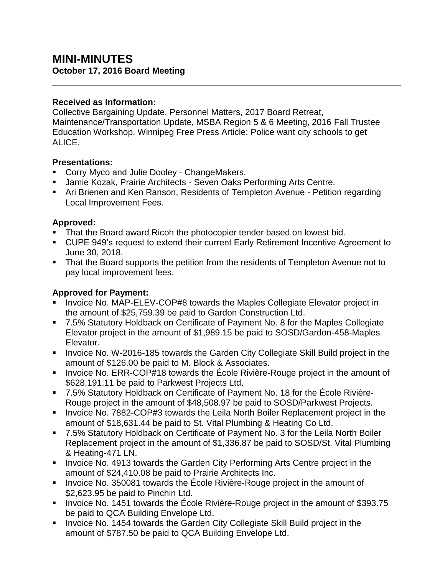# **MINI-MINUTES October 17, 2016 Board Meeting**

#### **Received as Information:**

Collective Bargaining Update, Personnel Matters, 2017 Board Retreat, Maintenance/Transportation Update, MSBA Region 5 & 6 Meeting, 2016 Fall Trustee Education Workshop, Winnipeg Free Press Article: Police want city schools to get ALICE.

#### **Presentations:**

- **Corry Myco and Julie Dooley ChangeMakers.**
- Jamie Kozak, Prairie Architects Seven Oaks Performing Arts Centre.
- Ari Brienen and Ken Ranson, Residents of Templeton Avenue Petition regarding Local Improvement Fees.

### **Approved:**

- That the Board award Ricoh the photocopier tender based on lowest bid.
- CUPE 949's request to extend their current Early Retirement Incentive Agreement to June 30, 2018.
- That the Board supports the petition from the residents of Templeton Avenue not to pay local improvement fees.

### **Approved for Payment:**

- Invoice No. MAP-ELEV-COP#8 towards the Maples Collegiate Elevator project in the amount of \$25,759.39 be paid to Gardon Construction Ltd.
- 7.5% Statutory Holdback on Certificate of Payment No. 8 for the Maples Collegiate Elevator project in the amount of \$1,989.15 be paid to SOSD/Gardon-458-Maples Elevator.
- **Invoice No. W-2016-185 towards the Garden City Collegiate Skill Build project in the** amount of \$126.00 be paid to M. Block & Associates.
- Invoice No. ERR-COP#18 towards the École Rivière-Rouge project in the amount of \$628,191.11 be paid to Parkwest Projects Ltd.
- 7.5% Statutory Holdback on Certificate of Payment No. 18 for the École Rivière-Rouge project in the amount of \$48,508.97 be paid to SOSD/Parkwest Projects.
- **Invoice No. 7882-COP#3 towards the Leila North Boiler Replacement project in the** amount of \$18,631.44 be paid to St. Vital Plumbing & Heating Co Ltd.
- 7.5% Statutory Holdback on Certificate of Payment No. 3 for the Leila North Boiler Replacement project in the amount of \$1,336.87 be paid to SOSD/St. Vital Plumbing & Heating-471 LN.
- **Invoice No. 4913 towards the Garden City Performing Arts Centre project in the** amount of \$24,410.08 be paid to Prairie Architects Inc.
- **Invoice No. 350081 towards the École Rivière-Rouge project in the amount of** \$2,623.95 be paid to Pinchin Ltd.
- Invoice No. 1451 towards the École Rivière-Rouge project in the amount of \$393.75 be paid to QCA Building Envelope Ltd.
- **Invoice No. 1454 towards the Garden City Collegiate Skill Build project in the** amount of \$787.50 be paid to QCA Building Envelope Ltd.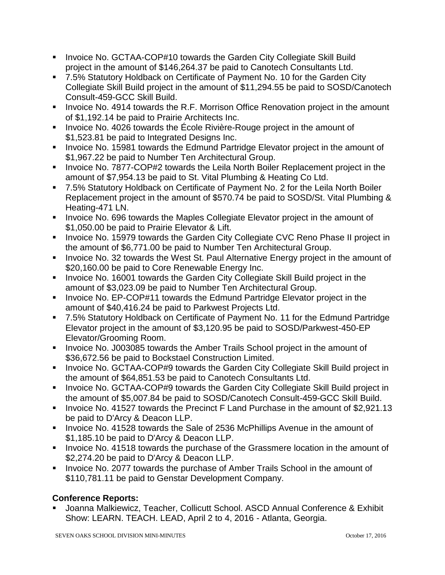- **IDED 10. GCTAA-COP#10 towards the Garden City Collegiate Skill Build** project in the amount of \$146,264.37 be paid to Canotech Consultants Ltd.
- 7.5% Statutory Holdback on Certificate of Payment No. 10 for the Garden City Collegiate Skill Build project in the amount of \$11,294.55 be paid to SOSD/Canotech Consult-459-GCC Skill Build.
- **Invoice No. 4914 towards the R.F. Morrison Office Renovation project in the amount** of \$1,192.14 be paid to Prairie Architects Inc.
- **Invoice No. 4026 towards the École Rivière-Rouge project in the amount of** \$1,523.81 be paid to Integrated Designs Inc.
- **Invoice No. 15981 towards the Edmund Partridge Elevator project in the amount of** \$1,967.22 be paid to Number Ten Architectural Group.
- **Invoice No. 7877-COP#2 towards the Leila North Boiler Replacement project in the** amount of \$7,954.13 be paid to St. Vital Plumbing & Heating Co Ltd.
- 7.5% Statutory Holdback on Certificate of Payment No. 2 for the Leila North Boiler Replacement project in the amount of \$570.74 be paid to SOSD/St. Vital Plumbing & Heating-471 LN.
- **Invoice No. 696 towards the Maples Collegiate Elevator project in the amount of** \$1,050.00 be paid to Prairie Elevator & Lift.
- **Invoice No. 15979 towards the Garden City Collegiate CVC Reno Phase II project in** the amount of \$6,771.00 be paid to Number Ten Architectural Group.
- **Invoice No. 32 towards the West St. Paul Alternative Energy project in the amount of** \$20,160.00 be paid to Core Renewable Energy Inc.
- **Invoice No. 16001 towards the Garden City Collegiate Skill Build project in the** amount of \$3,023.09 be paid to Number Ten Architectural Group.
- Invoice No. EP-COP#11 towards the Edmund Partridge Elevator project in the amount of \$40,416.24 be paid to Parkwest Projects Ltd.
- 7.5% Statutory Holdback on Certificate of Payment No. 11 for the Edmund Partridge Elevator project in the amount of \$3,120.95 be paid to SOSD/Parkwest-450-EP Elevator/Grooming Room.
- Invoice No. J003085 towards the Amber Trails School project in the amount of \$36,672.56 be paid to Bockstael Construction Limited.
- **Invoice No. GCTAA-COP#9 towards the Garden City Collegiate Skill Build project in** the amount of \$64,851.53 be paid to Canotech Consultants Ltd.
- **Invoice No. GCTAA-COP#9 towards the Garden City Collegiate Skill Build project in** the amount of \$5,007.84 be paid to SOSD/Canotech Consult-459-GCC Skill Build.
- Invoice No. 41527 towards the Precinct F Land Purchase in the amount of \$2,921.13 be paid to D'Arcy & Deacon LLP.
- **Invoice No. 41528 towards the Sale of 2536 McPhillips Avenue in the amount of** \$1,185.10 be paid to D'Arcy & Deacon LLP.
- Invoice No. 41518 towards the purchase of the Grassmere location in the amount of \$2,274.20 be paid to D'Arcy & Deacon LLP.
- Invoice No. 2077 towards the purchase of Amber Trails School in the amount of \$110,781.11 be paid to Genstar Development Company.

# **Conference Reports:**

 Joanna Malkiewicz, Teacher, Collicutt School. ASCD Annual Conference & Exhibit Show: LEARN. TEACH. LEAD, April 2 to 4, 2016 - Atlanta, Georgia.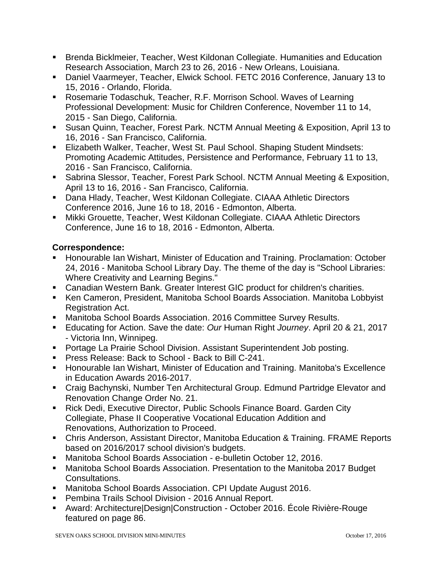- Brenda Bicklmeier, Teacher, West Kildonan Collegiate. Humanities and Education Research Association, March 23 to 26, 2016 - New Orleans, Louisiana.
- Daniel Vaarmeyer, Teacher, Elwick School. FETC 2016 Conference, January 13 to 15, 2016 - Orlando, Florida.
- Rosemarie Todaschuk, Teacher, R.F. Morrison School. Waves of Learning Professional Development: Music for Children Conference, November 11 to 14, 2015 - San Diego, California.
- Susan Quinn, Teacher, Forest Park. NCTM Annual Meeting & Exposition, April 13 to 16, 2016 - San Francisco, California.
- **Elizabeth Walker, Teacher, West St. Paul School. Shaping Student Mindsets:** Promoting Academic Attitudes, Persistence and Performance, February 11 to 13, 2016 - San Francisco, California.
- **Sabrina Slessor, Teacher, Forest Park School. NCTM Annual Meeting & Exposition,** April 13 to 16, 2016 - San Francisco, California.
- Dana Hlady, Teacher, West Kildonan Collegiate. CIAAA Athletic Directors Conference 2016, June 16 to 18, 2016 - Edmonton, Alberta.
- Mikki Grouette, Teacher, West Kildonan Collegiate. CIAAA Athletic Directors Conference, June 16 to 18, 2016 - Edmonton, Alberta.

## **Correspondence:**

- Honourable Ian Wishart, Minister of Education and Training. Proclamation: October 24, 2016 - Manitoba School Library Day. The theme of the day is "School Libraries: Where Creativity and Learning Begins."
- Canadian Western Bank. Greater Interest GIC product for children's charities.
- Ken Cameron, President, Manitoba School Boards Association. Manitoba Lobbyist Registration Act.
- Manitoba School Boards Association. 2016 Committee Survey Results.
- Educating for Action. Save the date: *Our* Human Right *Journey*. April 20 & 21, 2017 - Victoria Inn, Winnipeg.
- **Portage La Prairie School Division. Assistant Superintendent Job posting.**
- **Press Release: Back to School Back to Bill C-241.**
- **Honourable Ian Wishart, Minister of Education and Training. Manitoba's Excellence** in Education Awards 2016-2017.
- Craig Bachynski, Number Ten Architectural Group. Edmund Partridge Elevator and Renovation Change Order No. 21.
- Rick Dedi, Executive Director, Public Schools Finance Board, Garden City Collegiate, Phase II Cooperative Vocational Education Addition and Renovations, Authorization to Proceed.
- Chris Anderson, Assistant Director, Manitoba Education & Training. FRAME Reports based on 2016/2017 school division's budgets.
- Manitoba School Boards Association e-bulletin October 12, 2016.
- Manitoba School Boards Association. Presentation to the Manitoba 2017 Budget Consultations.
- Manitoba School Boards Association. CPI Update August 2016.
- **Pembina Trails School Division 2016 Annual Report.**
- Award: Architecture|Design|Construction October 2016. École Rivière-Rouge featured on page 86.